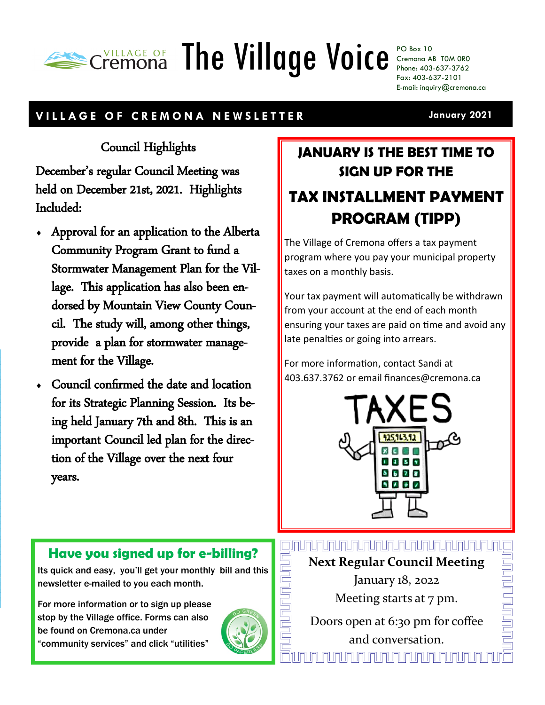# **THE AGE OF The Village Voice** PO Box 10

Cremona AB T0M 0R0 Phone: 403-637-3762 Fax: 403-637-2101 E-mail: inquiry@cremona.ca

#### **V I L L A G E O F C R E M O N A N E W S L E T T E R**

**January 2021**

### Council Highlights

December's regular Council Meeting was held on December 21st, 2021. Highlights Included:

- Approval for an application to the Alberta Community Program Grant to fund a Stormwater Management Plan for the Village. This application has also been endorsed by Mountain View County Council. The study will, among other things, provide a plan for stormwater management for the Village.
- Council confirmed the date and location for its Strategic Planning Session. Its being held January 7th and 8th. This is an important Council led plan for the direction of the Village over the next four years.

## **JANUARY IS THE BEST TIME TO SIGN UP FOR THE TAX INSTALLMENT PAYMENT PROGRAM (TIPP)**

The Village of Cremona offers a tax payment program where you pay your municipal property taxes on a monthly basis.

Your tax payment will automatically be withdrawn from your account at the end of each month ensuring your taxes are paid on time and avoid any late penalties or going into arrears.

For more information, contact Sandi at 403.637.3762 or email finances@cremona.ca



### **Have you signed up for e-billing?**

Its quick and easy, you'll get your monthly bill and this newsletter e-mailed to you each month.

For more information or to sign up please stop by the Village office. Forms can also be found on Cremona.ca under "community services" and click "utilities"



<u>mmmmmmmmmmmm</u>

**Next Regular Council Meeting** 

January 18, 2022 Meeting starts at 7 pm.

Doors open at 6:30 pm for coffee and conversation. <u>JNJNJNJNJNJNJNJNJNJNJ</u>